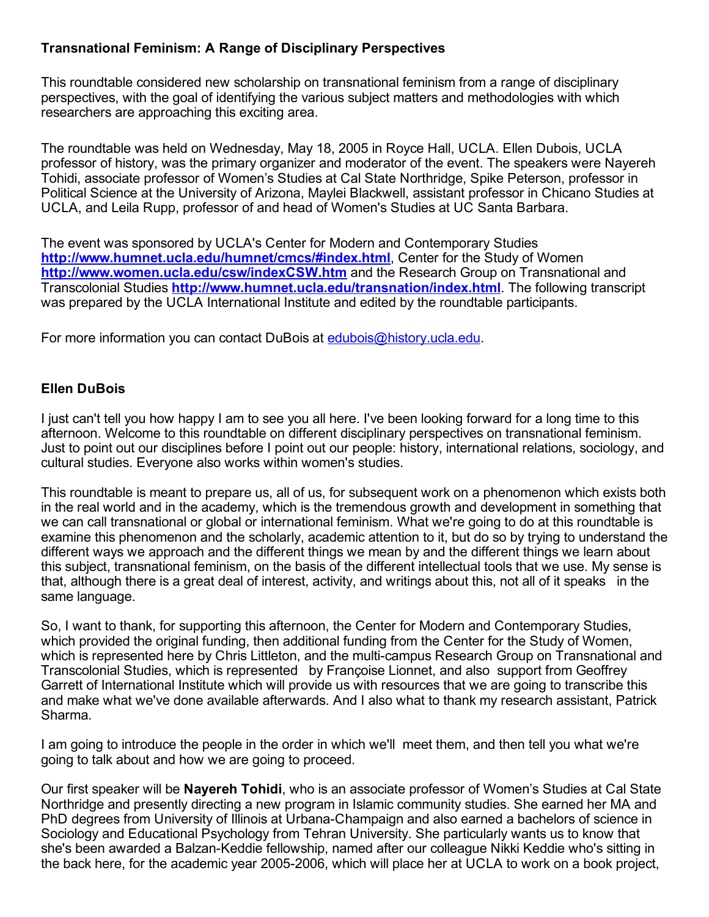# Transnational Feminism: A Range of Disciplinary Perspectives

This roundtable considered new scholarship on transnational feminism from a range of disciplinary perspectives, with the goal of identifying the various subject matters and methodologies with which researchers are approaching this exciting area.

The roundtable was held on Wednesday, May 18, 2005 in Royce Hall, UCLA. Ellen Dubois, UCLA professor of history, was the primary organizer and moderator of the event. The speakers were Nayereh Tohidi, associate professor of Women's Studies at Cal State Northridge, Spike Peterson, professor in Political Science at the University of Arizona, Maylei Blackwell, assistant professor in Chicano Studies at UCLA, and Leila Rupp, professor of and head of Women's Studies at UC Santa Barbara.

The event was sponsored by UCLA's Center for Modern and Contemporary Studies <http://www.humnet.ucla.edu/humnet/cmcs/#index.html>, Center for the Study of Women <http://www.women.ucla.edu/csw/indexCSW.htm> and the Research Group on Transnational and Transcolonial Studies **http://www.humnet.ucla.edu/transnation/index.html**. The following transcript was prepared by the UCLA International Institute and edited by the roundtable participants.

For more information you can contact DuBois at [edubois@history.ucla.edu](mailto:edubois@history.ucla.edu).

### Ellen DuBois

I just can't tell you how happy I am to see you all here. I've been looking forward for a long time to this afternoon. Welcome to this roundtable on different disciplinary perspectives on transnational feminism. Just to point out our disciplines before I point out our people: history, international relations, sociology, and cultural studies. Everyone also works within women's studies.

This roundtable is meant to prepare us, all of us, for subsequent work on a phenomenon which exists both in the real world and in the academy, which is the tremendous growth and development in something that we can call transnational or global or international feminism. What we're going to do at this roundtable is examine this phenomenon and the scholarly, academic attention to it, but do so by trying to understand the different ways we approach and the different things we mean by and the different things we learn about this subject, transnational feminism, on the basis of the different intellectual tools that we use. My sense is that, although there is a great deal of interest, activity, and writings about this, not all of it speaks in the same language.

So, I want to thank, for supporting this afternoon, the Center for Modern and Contemporary Studies, which provided the original funding, then additional funding from the Center for the Study of Women, which is represented here by Chris Littleton, and the multi-campus Research Group on Transnational and Transcolonial Studies, which is represented by Françoise Lionnet, and also support from Geoffrey Garrett of International Institute which will provide us with resources that we are going to transcribe this and make what we've done available afterwards. And I also what to thank my research assistant, Patrick Sharma.

I am going to introduce the people in the order in which we'll meet them, and then tell you what we're going to talk about and how we are going to proceed.

Our first speaker will be Nayereh Tohidi, who is an associate professor of Women's Studies at Cal State Northridge and presently directing a new program in Islamic community studies. She earned her MA and PhD degrees from University of Illinois at Urbana-Champaign and also earned a bachelors of science in Sociology and Educational Psychology from Tehran University. She particularly wants us to know that she's been awarded a Balzan-Keddie fellowship, named after our colleague Nikki Keddie who's sitting in the back here, for the academic year 2005-2006, which will place her at UCLA to work on a book project,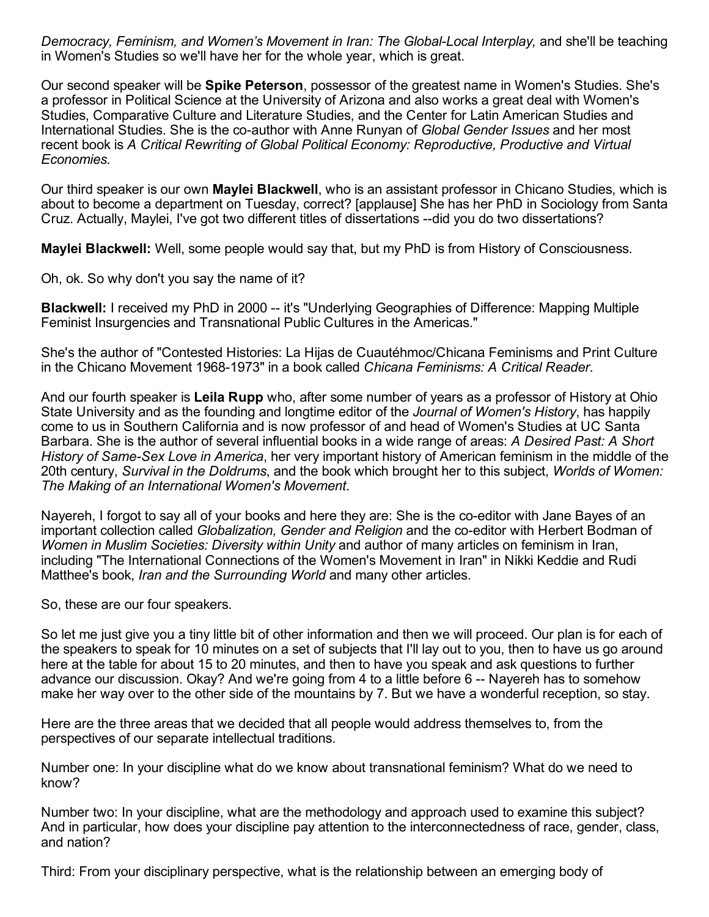*Democracy, Feminism, and Women's Movement in Iran: The GlobalLocal Interplay,* and she'll be teaching in Women's Studies so we'll have her for the whole year, which is great.

Our second speaker will be Spike Peterson, possessor of the greatest name in Women's Studies. She's a professor in Political Science at the University of Arizona and also works a great deal with Women's Studies, Comparative Culture and Literature Studies, and the Center for Latin American Studies and International Studies. She is the co-author with Anne Runyan of *Global Gender Issues* and her most recent book is *A Critical Rewriting of Global Political Economy: Reproductive, Productive and Virtual Economies.*

Our third speaker is our own Maylei Blackwell, who is an assistant professor in Chicano Studies, which is about to become a department on Tuesday, correct? [applause] She has her PhD in Sociology from Santa Cruz. Actually, Maylei, I've got two different titles of dissertations --did you do two dissertations?

Maylei Blackwell: Well, some people would say that, but my PhD is from History of Consciousness.

Oh, ok. So why don't you say the name of it?

**Blackwell:** I received my PhD in 2000 -- it's "Underlying Geographies of Difference: Mapping Multiple Feminist Insurgencies and Transnational Public Cultures in the Americas."

She's the author of "Contested Histories: La Hijas de Cuautéhmoc/Chicana Feminisms and Print Culture in the Chicano Movement 1968-1973" in a book called *Chicana Feminisms: A Critical Reader.* 

And our fourth speaker is Leila Rupp who, after some number of years as a professor of History at Ohio State University and as the founding and longtime editor of the *Journal of Women's History*, has happily come to us in Southern California and is now professor of and head of Women's Studies at UC Santa Barbara. She is the author of several influential books in a wide range of areas: *A Desired Past: A Short History of Same-Sex Love in America*, her very important history of American feminism in the middle of the 20th century, *Survival in the Doldrums*, and the book which brought her to this subject, *Worlds of Women: The Making of an International Women's Movement*.

Nayereh, I forgot to say all of your books and here they are: She is the co-editor with Jane Bayes of an important collection called *Globalization, Gender and Religion* and the co-editor with Herbert Bodman of *Women in Muslim Societies: Diversity within Unity* and author of many articles on feminism in Iran, including "The International Connections of the Women's Movement in Iran" in Nikki Keddie and Rudi Matthee's book, *Iran and the Surrounding World* and many other articles.

So, these are our four speakers.

So let me just give you a tiny little bit of other information and then we will proceed. Our plan is for each of the speakers to speak for 10 minutes on a set of subjects that I'll lay out to you, then to have us go around here at the table for about 15 to 20 minutes, and then to have you speak and ask questions to further advance our discussion. Okay? And we're going from 4 to a little before 6 -- Nayereh has to somehow make her way over to the other side of the mountains by 7. But we have a wonderful reception, so stay.

Here are the three areas that we decided that all people would address themselves to, from the perspectives of our separate intellectual traditions.

Number one: In your discipline what do we know about transnational feminism? What do we need to know?

Number two: In your discipline, what are the methodology and approach used to examine this subject? And in particular, how does your discipline pay attention to the interconnectedness of race, gender, class, and nation?

Third: From your disciplinary perspective, what is the relationship between an emerging body of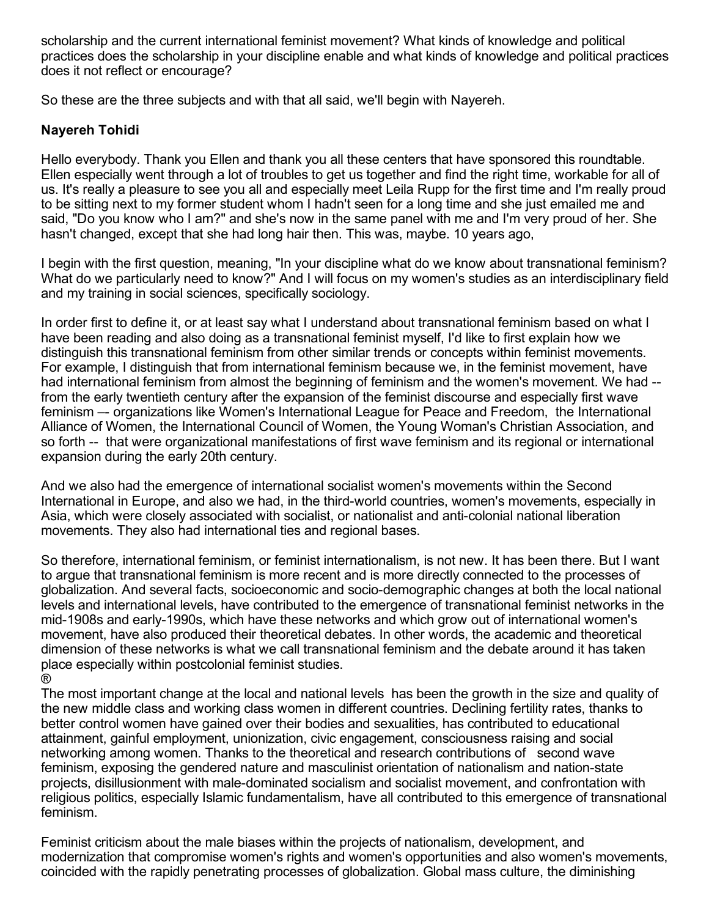scholarship and the current international feminist movement? What kinds of knowledge and political practices does the scholarship in your discipline enable and what kinds of knowledge and political practices does it not reflect or encourage?

So these are the three subjects and with that all said, we'll begin with Nayereh.

### Nayereh Tohidi

Hello everybody. Thank you Ellen and thank you all these centers that have sponsored this roundtable. Ellen especially went through a lot of troubles to get us together and find the right time, workable for all of us. It's really a pleasure to see you all and especially meet Leila Rupp for the first time and I'm really proud to be sitting next to my former student whom I hadn't seen for a long time and she just emailed me and said, "Do you know who I am?" and she's now in the same panel with me and I'm very proud of her. She hasn't changed, except that she had long hair then. This was, maybe. 10 years ago,

I begin with the first question, meaning, "In your discipline what do we know about transnational feminism? What do we particularly need to know?" And I will focus on my women's studies as an interdisciplinary field and my training in social sciences, specifically sociology.

In order first to define it, or at least say what I understand about transnational feminism based on what I have been reading and also doing as a transnational feminist myself, I'd like to first explain how we distinguish this transnational feminism from other similar trends or concepts within feminist movements. For example, I distinguish that from international feminism because we, in the feminist movement, have had international feminism from almost the beginning of feminism and the women's movement. We had -from the early twentieth century after the expansion of the feminist discourse and especially first wave feminism – organizations like Women's International League for Peace and Freedom, the International Alliance of Women, the International Council of Women, the Young Woman's Christian Association, and so forth -- that were organizational manifestations of first wave feminism and its regional or international expansion during the early 20th century.

And we also had the emergence of international socialist women's movements within the Second International in Europe, and also we had, in the third-world countries, women's movements, especially in Asia, which were closely associated with socialist, or nationalist and anti-colonial national liberation movements. They also had international ties and regional bases.

So therefore, international feminism, or feminist internationalism, is not new. It has been there. But I want to argue that transnational feminism is more recent and is more directly connected to the processes of globalization. And several facts, socioeconomic and sociodemographic changes at both the local national levels and international levels, have contributed to the emergence of transnational feminist networks in the mid-1908s and early-1990s, which have these networks and which grow out of international women's movement, have also produced their theoretical debates. In other words, the academic and theoretical dimension of these networks is what we call transnational feminism and the debate around it has taken place especially within postcolonial feminist studies. ®

The most important change at the local and national levels has been the growth in the size and quality of the new middle class and working class women in different countries. Declining fertility rates, thanks to better control women have gained over their bodies and sexualities, has contributed to educational attainment, gainful employment, unionization, civic engagement, consciousness raising and social networking among women. Thanks to the theoretical and research contributions of second wave feminism, exposing the gendered nature and masculinist orientation of nationalism and nation-state projects, disillusionment with male-dominated socialism and socialist movement, and confrontation with religious politics, especially Islamic fundamentalism, have all contributed to this emergence of transnational feminism.

Feminist criticism about the male biases within the projects of nationalism, development, and modernization that compromise women's rights and women's opportunities and also women's movements, coincided with the rapidly penetrating processes of globalization. Global mass culture, the diminishing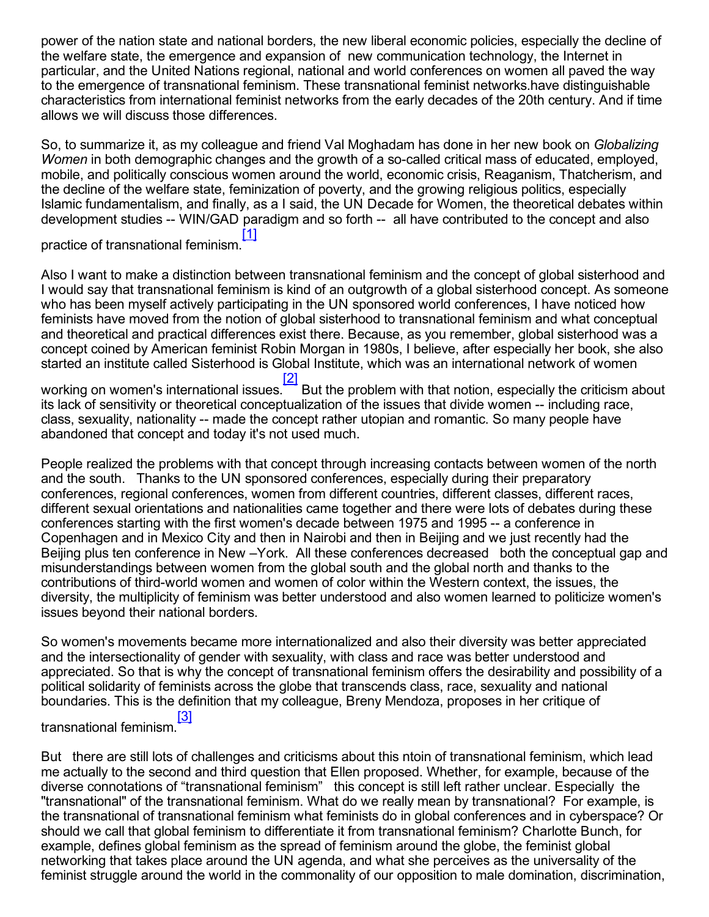power of the nation state and national borders, the new liberal economic policies, especially the decline of the welfare state, the emergence and expansion of new communication technology, the Internet in particular, and the United Nations regional, national and world conferences on women all paved the way to the emergence of transnational feminism. These transnational feminist networks.have distinguishable characteristics from international feminist networks from the early decades of the 20th century. And if time allows we will discuss those differences.

So, to summarize it, as my colleague and friend Val Moghadam has done in her new book on *Globalizing Women* in both demographic changes and the growth of a so-called critical mass of educated, employed, mobile, and politically conscious women around the world, economic crisis, Reaganism, Thatcherism, and the decline of the welfare state, feminization of poverty, and the growing religious politics, especially Islamic fundamentalism, and finally, as a I said, the UN Decade for Women, the theoretical debates within development studies -- WIN/GAD paradigm and so forth -- all have contributed to the concept and also [\[1\]](#page-18-0)

<span id="page-3-0"></span>practice of transnational feminism.

Also I want to make a distinction between transnational feminism and the concept of global sisterhood and I would say that transnational feminism is kind of an outgrowth of a global sisterhood concept. As someone who has been myself actively participating in the UN sponsored world conferences, I have noticed how feminists have moved from the notion of global sisterhood to transnational feminism and what conceptual and theoretical and practical differences exist there. Because, as you remember, global sisterhood was a concept coined by American feminist Robin Morgan in 1980s, I believe, after especially her book, she also started an institute called Sisterhood is Global Institute, which was an international network of women [\[2\]](#page-18-1)

<span id="page-3-1"></span>working on women's international issues.<sup>\*</sup> But the problem with that notion, especially the criticism about its lack of sensitivity or theoretical conceptualization of the issues that divide women -- including race, class, sexuality, nationality -- made the concept rather utopian and romantic. So many people have abandoned that concept and today it's not used much.

People realized the problems with that concept through increasing contacts between women of the north and the south. Thanks to the UN sponsored conferences, especially during their preparatory conferences, regional conferences, women from different countries, different classes, different races, different sexual orientations and nationalities came together and there were lots of debates during these conferences starting with the first women's decade between 1975 and 1995 -- a conference in Copenhagen and in Mexico City and then in Nairobi and then in Beijing and we just recently had the Beijing plus ten conference in New –York. All these conferences decreased both the conceptual gap and misunderstandings between women from the global south and the global north and thanks to the contributions of third-world women and women of color within the Western context, the issues, the diversity, the multiplicity of feminism was better understood and also women learned to politicize women's issues beyond their national borders.

So women's movements became more internationalized and also their diversity was better appreciated and the intersectionality of gender with sexuality, with class and race was better understood and appreciated. So that is why the concept of transnational feminism offers the desirability and possibility of a political solidarity of feminists across the globe that transcends class, race, sexuality and national boundaries. This is the definition that my colleague, Breny Mendoza, proposes in her critique of [\[3\]](#page-18-2)

#### <span id="page-3-2"></span>transnational feminism.

But there are still lots of challenges and criticisms about this ntoin of transnational feminism, which lead me actually to the second and third question that Ellen proposed. Whether, for example, because of the diverse connotations of "transnational feminism" this concept is still left rather unclear. Especially the "transnational" of the transnational feminism. What do we really mean by transnational? For example, is the transnational of transnational feminism what feminists do in global conferences and in cyberspace? Or should we call that global feminism to differentiate it from transnational feminism? Charlotte Bunch, for example, defines global feminism as the spread of feminism around the globe, the feminist global networking that takes place around the UN agenda, and what she perceives as the universality of the feminist struggle around the world in the commonality of our opposition to male domination, discrimination,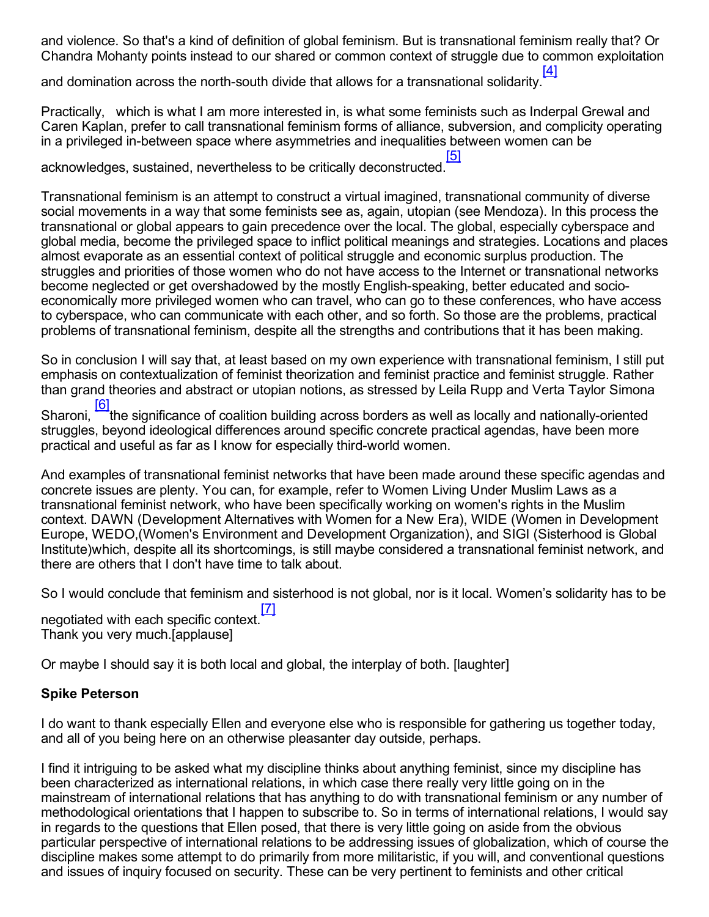and violence. So that's a kind of definition of global feminism. But is transnational feminism really that? Or Chandra Mohanty points instead to our shared or common context of struggle due to common exploitation

<span id="page-4-0"></span>and domination across the north-south divide that allows for a transnational solidarity. [\[4\]](#page-18-3)

Practically, which is what I am more interested in, is what some feminists such as Inderpal Grewal and Caren Kaplan, prefer to call transnational feminism forms of alliance, subversion, and complicity operating in a privileged in-between space where asymmetries and inequalities between women can be

<span id="page-4-1"></span>acknowledges, sustained, nevertheless to be critically deconstructed. [\[5\]](#page-18-4)

Transnational feminism is an attempt to construct a virtual imagined, transnational community of diverse social movements in a way that some feminists see as, again, utopian (see Mendoza). In this process the transnational or global appears to gain precedence over the local. The global, especially cyberspace and global media, become the privileged space to inflict political meanings and strategies. Locations and places almost evaporate as an essential context of political struggle and economic surplus production. The struggles and priorities of those women who do not have access to the Internet or transnational networks become neglected or get overshadowed by the mostly English-speaking, better educated and socioeconomically more privileged women who can travel, who can go to these conferences, who have access to cyberspace, who can communicate with each other, and so forth. So those are the problems, practical problems of transnational feminism, despite all the strengths and contributions that it has been making.

So in conclusion I will say that, at least based on my own experience with transnational feminism, I still put emphasis on contextualization of feminist theorization and feminist practice and feminist struggle. Rather than grand theories and abstract or utopian notions, as stressed by Leila Rupp and Verta Taylor Simona [\[6\]](#page-18-5)

<span id="page-4-2"></span>Sharoni, the significance of coalition building across borders as well as locally and nationally-oriented struggles, beyond ideological differences around specific concrete practical agendas, have been more practical and useful as far as I know for especially third-world women.

And examples of transnational feminist networks that have been made around these specific agendas and concrete issues are plenty. You can, for example, refer to Women Living Under Muslim Laws as a transnational feminist network, who have been specifically working on women's rights in the Muslim context. DAWN (Development Alternatives with Women for a New Era), WIDE (Women in Development Europe, WEDO,(Women's Environment and Development Organization), and SIGI (Sisterhood is Global Institute)which, despite all its shortcomings, is still maybe considered a transnational feminist network, and there are others that I don't have time to talk about.

So I would conclude that feminism and sisterhood is not global, nor is it local. Women's solidarity has to be

<span id="page-4-3"></span>negotiated with each specific context. [\[7\]](#page-18-6) Thank you very much.[applause]

Or maybe I should say it is both local and global, the interplay of both. [laughter]

### Spike Peterson

I do want to thank especially Ellen and everyone else who is responsible for gathering us together today, and all of you being here on an otherwise pleasanter day outside, perhaps.

I find it intriguing to be asked what my discipline thinks about anything feminist, since my discipline has been characterized as international relations, in which case there really very little going on in the mainstream of international relations that has anything to do with transnational feminism or any number of methodological orientations that I happen to subscribe to. So in terms of international relations, I would say in regards to the questions that Ellen posed, that there is very little going on aside from the obvious particular perspective of international relations to be addressing issues of globalization, which of course the discipline makes some attempt to do primarily from more militaristic, if you will, and conventional questions and issues of inquiry focused on security. These can be very pertinent to feminists and other critical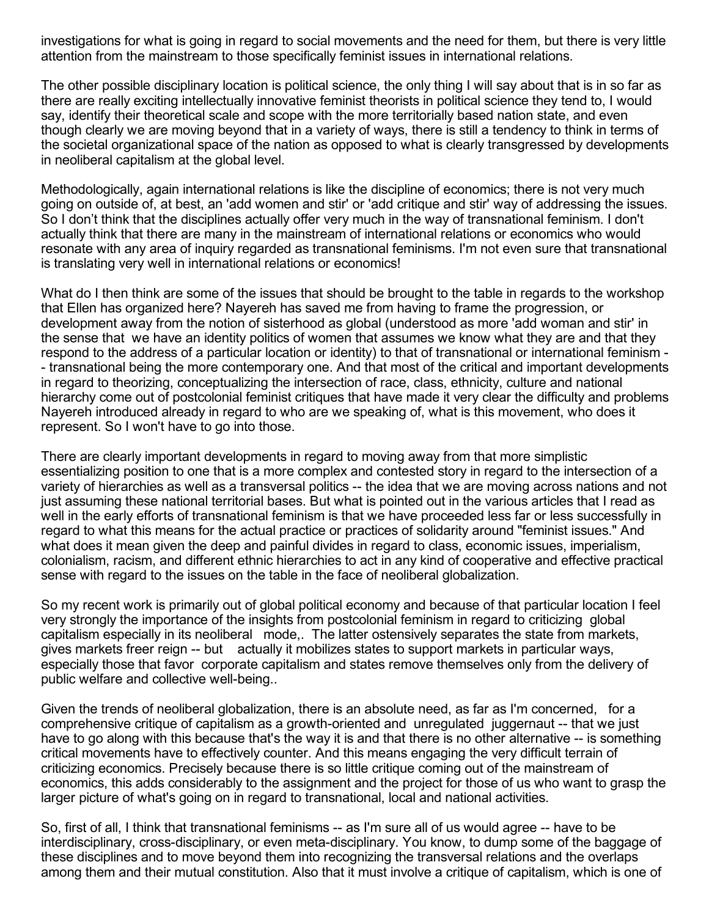investigations for what is going in regard to social movements and the need for them, but there is very little attention from the mainstream to those specifically feminist issues in international relations.

The other possible disciplinary location is political science, the only thing I will say about that is in so far as there are really exciting intellectually innovative feminist theorists in political science they tend to, I would say, identify their theoretical scale and scope with the more territorially based nation state, and even though clearly we are moving beyond that in a variety of ways, there is still a tendency to think in terms of the societal organizational space of the nation as opposed to what is clearly transgressed by developments in neoliberal capitalism at the global level.

Methodologically, again international relations is like the discipline of economics; there is not very much going on outside of, at best, an 'add women and stir' or 'add critique and stir' way of addressing the issues. So I don't think that the disciplines actually offer very much in the way of transnational feminism. I don't actually think that there are many in the mainstream of international relations or economics who would resonate with any area of inquiry regarded as transnational feminisms. I'm not even sure that transnational is translating very well in international relations or economics!

What do I then think are some of the issues that should be brought to the table in regards to the workshop that Ellen has organized here? Nayereh has saved me from having to frame the progression, or development away from the notion of sisterhood as global (understood as more 'add woman and stir' in the sense that we have an identity politics of women that assumes we know what they are and that they respond to the address of a particular location or identity) to that of transnational or international feminism transnational being the more contemporary one. And that most of the critical and important developments in regard to theorizing, conceptualizing the intersection of race, class, ethnicity, culture and national hierarchy come out of postcolonial feminist critiques that have made it very clear the difficulty and problems Nayereh introduced already in regard to who are we speaking of, what is this movement, who does it represent. So I won't have to go into those.

There are clearly important developments in regard to moving away from that more simplistic essentializing position to one that is a more complex and contested story in regard to the intersection of a variety of hierarchies as well as a transversal politics -- the idea that we are moving across nations and not just assuming these national territorial bases. But what is pointed out in the various articles that I read as well in the early efforts of transnational feminism is that we have proceeded less far or less successfully in regard to what this means for the actual practice or practices of solidarity around "feminist issues." And what does it mean given the deep and painful divides in regard to class, economic issues, imperialism, colonialism, racism, and different ethnic hierarchies to act in any kind of cooperative and effective practical sense with regard to the issues on the table in the face of neoliberal globalization.

So my recent work is primarily out of global political economy and because of that particular location I feel very strongly the importance of the insights from postcolonial feminism in regard to criticizing global capitalism especially in its neoliberal mode,. The latter ostensively separates the state from markets, gives markets freer reign -- but actually it mobilizes states to support markets in particular ways, especially those that favor corporate capitalism and states remove themselves only from the delivery of public welfare and collective well-being...

Given the trends of neoliberal globalization, there is an absolute need, as far as I'm concerned, for a comprehensive critique of capitalism as a growth-oriented and unregulated juggernaut -- that we just have to go along with this because that's the way it is and that there is no other alternative -- is something critical movements have to effectively counter. And this means engaging the very difficult terrain of criticizing economics. Precisely because there is so little critique coming out of the mainstream of economics, this adds considerably to the assignment and the project for those of us who want to grasp the larger picture of what's going on in regard to transnational, local and national activities.

So, first of all, I think that transnational feminisms -- as I'm sure all of us would agree -- have to be interdisciplinary, cross-disciplinary, or even meta-disciplinary. You know, to dump some of the baggage of these disciplines and to move beyond them into recognizing the transversal relations and the overlaps among them and their mutual constitution. Also that it must involve a critique of capitalism, which is one of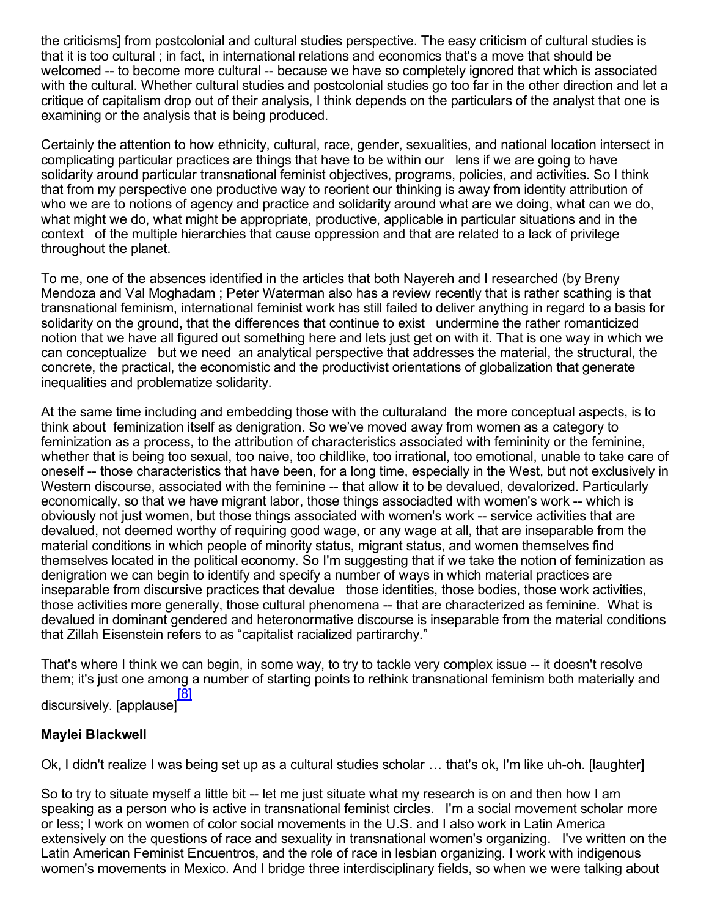the criticisms] from postcolonial and cultural studies perspective. The easy criticism of cultural studies is that it is too cultural ; in fact, in international relations and economics that's a move that should be welcomed -- to become more cultural -- because we have so completely ignored that which is associated with the cultural. Whether cultural studies and postcolonial studies go too far in the other direction and let a critique of capitalism drop out of their analysis, I think depends on the particulars of the analyst that one is examining or the analysis that is being produced.

Certainly the attention to how ethnicity, cultural, race, gender, sexualities, and national location intersect in complicating particular practices are things that have to be within our lens if we are going to have solidarity around particular transnational feminist objectives, programs, policies, and activities. So I think that from my perspective one productive way to reorient our thinking is away from identity attribution of who we are to notions of agency and practice and solidarity around what are we doing, what can we do, what might we do, what might be appropriate, productive, applicable in particular situations and in the context of the multiple hierarchies that cause oppression and that are related to a lack of privilege throughout the planet.

To me, one of the absences identified in the articles that both Nayereh and I researched (by Breny Mendoza and Val Moghadam ; Peter Waterman also has a review recently that is rather scathing is that transnational feminism, international feminist work has still failed to deliver anything in regard to a basis for solidarity on the ground, that the differences that continue to exist undermine the rather romanticized notion that we have all figured out something here and lets just get on with it. That is one way in which we can conceptualize but we need an analytical perspective that addresses the material, the structural, the concrete, the practical, the economistic and the productivist orientations of globalization that generate inequalities and problematize solidarity.

At the same time including and embedding those with the culturaland the more conceptual aspects, is to think about feminization itself as denigration. So we've moved away from women as a category to feminization as a process, to the attribution of characteristics associated with femininity or the feminine, whether that is being too sexual, too naive, too childlike, too irrational, too emotional, unable to take care of oneself -- those characteristics that have been, for a long time, especially in the West, but not exclusively in Western discourse, associated with the feminine -- that allow it to be devalued, devalorized. Particularly economically, so that we have migrant labor, those things associadted with women's work -- which is obviously not just women, but those things associated with women's work -- service activities that are devalued, not deemed worthy of requiring good wage, or any wage at all, that are inseparable from the material conditions in which people of minority status, migrant status, and women themselves find themselves located in the political economy. So I'm suggesting that if we take the notion of feminization as denigration we can begin to identify and specify a number of ways in which material practices are inseparable from discursive practices that devalue those identities, those bodies, those work activities, those activities more generally, those cultural phenomena -- that are characterized as feminine. What is devalued in dominant gendered and heteronormative discourse is inseparable from the material conditions that Zillah Eisenstein refers to as "capitalist racialized partirarchy."

That's where I think we can begin, in some way, to try to tackle very complex issue -- it doesn't resolve them; it's just one among a number of starting points to rethink transnational feminism both materially and [\[8\]](#page-18-7)

<span id="page-6-0"></span>discursively. [applause]

# Maylei Blackwell

Ok, I didn't realize I was being set up as a cultural studies scholar ... that's ok, I'm like uh-oh. [laughter]

So to try to situate myself a little bit -- let me just situate what my research is on and then how I am speaking as a person who is active in transnational feminist circles. I'm a social movement scholar more or less; I work on women of color social movements in the U.S. and I also work in Latin America extensively on the questions of race and sexuality in transnational women's organizing. I've written on the Latin American Feminist Encuentros, and the role of race in lesbian organizing. I work with indigenous women's movements in Mexico. And I bridge three interdisciplinary fields, so when we were talking about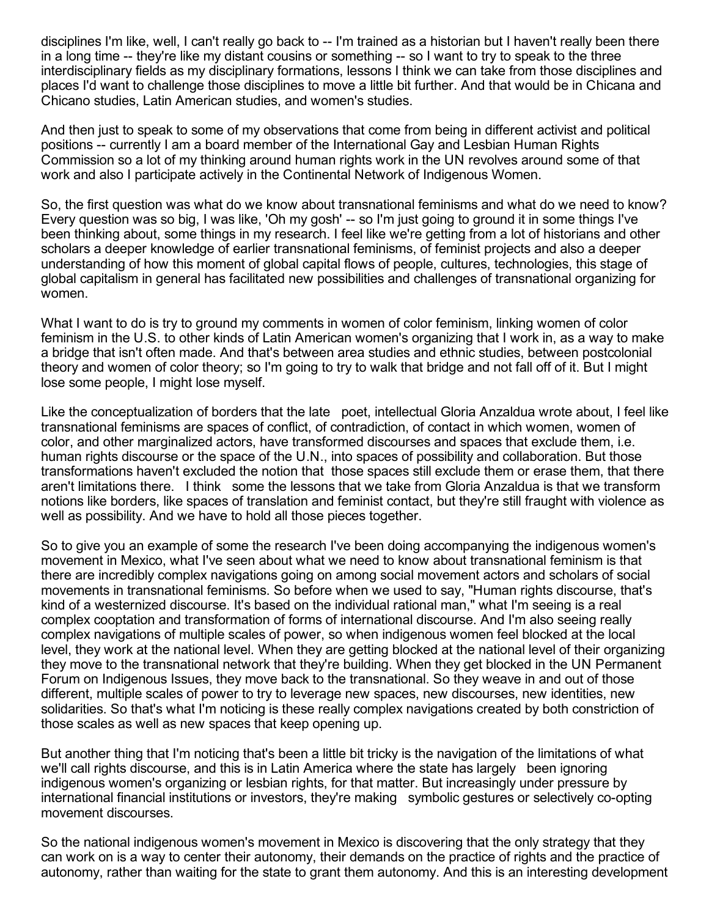disciplines I'm like, well, I can't really go back to -- I'm trained as a historian but I haven't really been there in a long time -- they're like my distant cousins or something -- so I want to try to speak to the three interdisciplinary fields as my disciplinary formations, lessons I think we can take from those disciplines and places I'd want to challenge those disciplines to move a little bit further. And that would be in Chicana and Chicano studies, Latin American studies, and women's studies.

And then just to speak to some of my observations that come from being in different activist and political positions -- currently I am a board member of the International Gay and Lesbian Human Rights Commission so a lot of my thinking around human rights work in the UN revolves around some of that work and also I participate actively in the Continental Network of Indigenous Women.

So, the first question was what do we know about transnational feminisms and what do we need to know? Every question was so big, I was like, 'Oh my gosh' -- so I'm just going to ground it in some things I've been thinking about, some things in my research. I feel like we're getting from a lot of historians and other scholars a deeper knowledge of earlier transnational feminisms, of feminist projects and also a deeper understanding of how this moment of global capital flows of people, cultures, technologies, this stage of global capitalism in general has facilitated new possibilities and challenges of transnational organizing for women.

What I want to do is try to ground my comments in women of color feminism, linking women of color feminism in the U.S. to other kinds of Latin American women's organizing that I work in, as a way to make a bridge that isn't often made. And that's between area studies and ethnic studies, between postcolonial theory and women of color theory; so I'm going to try to walk that bridge and not fall off of it. But I might lose some people, I might lose myself.

Like the conceptualization of borders that the late poet, intellectual Gloria Anzaldua wrote about, I feel like transnational feminisms are spaces of conflict, of contradiction, of contact in which women, women of color, and other marginalized actors, have transformed discourses and spaces that exclude them, i.e. human rights discourse or the space of the U.N., into spaces of possibility and collaboration. But those transformations haven't excluded the notion that those spaces still exclude them or erase them, that there aren't limitations there. I think some the lessons that we take from Gloria Anzaldua is that we transform notions like borders, like spaces of translation and feminist contact, but they're still fraught with violence as well as possibility. And we have to hold all those pieces together.

So to give you an example of some the research I've been doing accompanying the indigenous women's movement in Mexico, what I've seen about what we need to know about transnational feminism is that there are incredibly complex navigations going on among social movement actors and scholars of social movements in transnational feminisms. So before when we used to say, "Human rights discourse, that's kind of a westernized discourse. It's based on the individual rational man," what I'm seeing is a real complex cooptation and transformation of forms of international discourse. And I'm also seeing really complex navigations of multiple scales of power, so when indigenous women feel blocked at the local level, they work at the national level. When they are getting blocked at the national level of their organizing they move to the transnational network that they're building. When they get blocked in the UN Permanent Forum on Indigenous Issues, they move back to the transnational. So they weave in and out of those different, multiple scales of power to try to leverage new spaces, new discourses, new identities, new solidarities. So that's what I'm noticing is these really complex navigations created by both constriction of those scales as well as new spaces that keep opening up.

But another thing that I'm noticing that's been a little bit tricky is the navigation of the limitations of what we'll call rights discourse, and this is in Latin America where the state has largely been ignoring indigenous women's organizing or lesbian rights, for that matter. But increasingly under pressure by international financial institutions or investors, they're making symbolic gestures or selectively co-opting movement discourses.

So the national indigenous women's movement in Mexico is discovering that the only strategy that they can work on is a way to center their autonomy, their demands on the practice of rights and the practice of autonomy, rather than waiting for the state to grant them autonomy. And this is an interesting development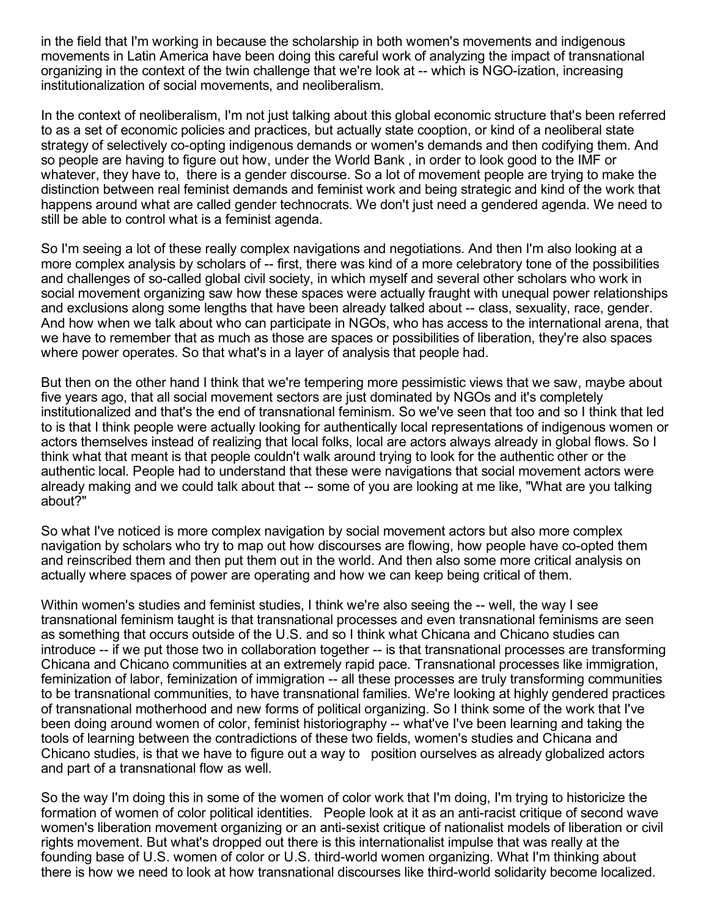in the field that I'm working in because the scholarship in both women's movements and indigenous movements in Latin America have been doing this careful work of analyzing the impact of transnational organizing in the context of the twin challenge that we're look at -- which is NGO-ization, increasing institutionalization of social movements, and neoliberalism.

In the context of neoliberalism, I'm not just talking about this global economic structure that's been referred to as a set of economic policies and practices, but actually state cooption, or kind of a neoliberal state strategy of selectively co-opting indigenous demands or women's demands and then codifying them. And so people are having to figure out how, under the World Bank , in order to look good to the IMF or whatever, they have to, there is a gender discourse. So a lot of movement people are trying to make the distinction between real feminist demands and feminist work and being strategic and kind of the work that happens around what are called gender technocrats. We don't just need a gendered agenda. We need to still be able to control what is a feminist agenda.

So I'm seeing a lot of these really complex navigations and negotiations. And then I'm also looking at a more complex analysis by scholars of -- first, there was kind of a more celebratory tone of the possibilities and challenges of so-called global civil society, in which myself and several other scholars who work in social movement organizing saw how these spaces were actually fraught with unequal power relationships and exclusions along some lengths that have been already talked about -- class, sexuality, race, gender. And how when we talk about who can participate in NGOs, who has access to the international arena, that we have to remember that as much as those are spaces or possibilities of liberation, they're also spaces where power operates. So that what's in a layer of analysis that people had.

But then on the other hand I think that we're tempering more pessimistic views that we saw, maybe about five years ago, that all social movement sectors are just dominated by NGOs and it's completely institutionalized and that's the end of transnational feminism. So we've seen that too and so I think that led to is that I think people were actually looking for authentically local representations of indigenous women or actors themselves instead of realizing that local folks, local are actors always already in global flows. So I think what that meant is that people couldn't walk around trying to look for the authentic other or the authentic local. People had to understand that these were navigations that social movement actors were already making and we could talk about that -- some of you are looking at me like, "What are you talking" about?"

So what I've noticed is more complex navigation by social movement actors but also more complex navigation by scholars who try to map out how discourses are flowing, how people have co-opted them and reinscribed them and then put them out in the world. And then also some more critical analysis on actually where spaces of power are operating and how we can keep being critical of them.

Within women's studies and feminist studies, I think we're also seeing the -- well, the way I see transnational feminism taught is that transnational processes and even transnational feminisms are seen as something that occurs outside of the U.S. and so I think what Chicana and Chicano studies can introduce -- if we put those two in collaboration together -- is that transnational processes are transforming Chicana and Chicano communities at an extremely rapid pace. Transnational processes like immigration, feminization of labor, feminization of immigration -- all these processes are truly transforming communities to be transnational communities, to have transnational families. We're looking at highly gendered practices of transnational motherhood and new forms of political organizing. So I think some of the work that I've been doing around women of color, feminist historiography -- what've I've been learning and taking the tools of learning between the contradictions of these two fields, women's studies and Chicana and Chicano studies, is that we have to figure out a way to position ourselves as already globalized actors and part of a transnational flow as well.

So the way I'm doing this in some of the women of color work that I'm doing, I'm trying to historicize the formation of women of color political identities. People look at it as an anti-racist critique of second wave women's liberation movement organizing or an anti-sexist critique of nationalist models of liberation or civil rights movement. But what's dropped out there is this internationalist impulse that was really at the founding base of U.S. women of color or U.S. third-world women organizing. What I'm thinking about there is how we need to look at how transnational discourses like third-world solidarity become localized.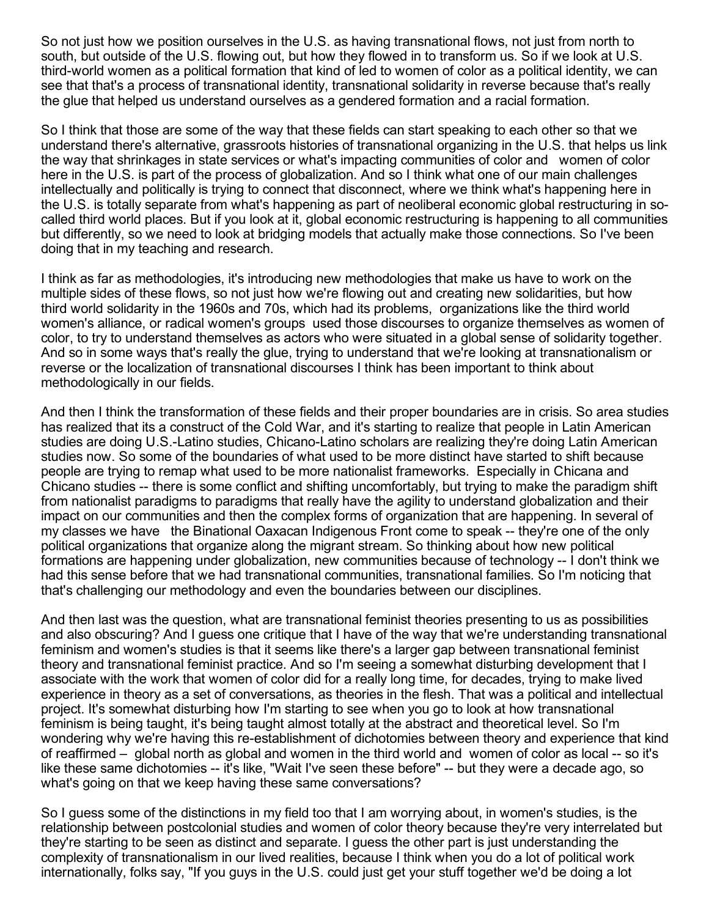So not just how we position ourselves in the U.S. as having transnational flows, not just from north to south, but outside of the U.S. flowing out, but how they flowed in to transform us. So if we look at U.S. third-world women as a political formation that kind of led to women of color as a political identity, we can see that that's a process of transnational identity, transnational solidarity in reverse because that's really the glue that helped us understand ourselves as a gendered formation and a racial formation.

So I think that those are some of the way that these fields can start speaking to each other so that we understand there's alternative, grassroots histories of transnational organizing in the U.S. that helps us link the way that shrinkages in state services or what's impacting communities of color and women of color here in the U.S. is part of the process of globalization. And so I think what one of our main challenges intellectually and politically is trying to connect that disconnect, where we think what's happening here in the U.S. is totally separate from what's happening as part of neoliberal economic global restructuring in socalled third world places. But if you look at it, global economic restructuring is happening to all communities but differently, so we need to look at bridging models that actually make those connections. So I've been doing that in my teaching and research.

I think as far as methodologies, it's introducing new methodologies that make us have to work on the multiple sides of these flows, so not just how we're flowing out and creating new solidarities, but how third world solidarity in the 1960s and 70s, which had its problems, organizations like the third world women's alliance, or radical women's groups used those discourses to organize themselves as women of color, to try to understand themselves as actors who were situated in a global sense of solidarity together. And so in some ways that's really the glue, trying to understand that we're looking at transnationalism or reverse or the localization of transnational discourses I think has been important to think about methodologically in our fields.

And then I think the transformation of these fields and their proper boundaries are in crisis. So area studies has realized that its a construct of the Cold War, and it's starting to realize that people in Latin American studies are doing U.S.-Latino studies, Chicano-Latino scholars are realizing they're doing Latin American studies now. So some of the boundaries of what used to be more distinct have started to shift because people are trying to remap what used to be more nationalist frameworks. Especially in Chicana and Chicano studies -- there is some conflict and shifting uncomfortably, but trying to make the paradigm shift from nationalist paradigms to paradigms that really have the agility to understand globalization and their impact on our communities and then the complex forms of organization that are happening. In several of my classes we have the Binational Oaxacan Indigenous Front come to speak -- they're one of the only political organizations that organize along the migrant stream. So thinking about how new political formations are happening under globalization, new communities because of technology -- I don't think we had this sense before that we had transnational communities, transnational families. So I'm noticing that that's challenging our methodology and even the boundaries between our disciplines.

And then last was the question, what are transnational feminist theories presenting to us as possibilities and also obscuring? And I guess one critique that I have of the way that we're understanding transnational feminism and women's studies is that it seems like there's a larger gap between transnational feminist theory and transnational feminist practice. And so I'm seeing a somewhat disturbing development that I associate with the work that women of color did for a really long time, for decades, trying to make lived experience in theory as a set of conversations, as theories in the flesh. That was a political and intellectual project. It's somewhat disturbing how I'm starting to see when you go to look at how transnational feminism is being taught, it's being taught almost totally at the abstract and theoretical level. So I'm wondering why we're having this re-establishment of dichotomies between theory and experience that kind of reaffirmed – global north as global and women in the third world and women of color as local -- so it's like these same dichotomies -- it's like, "Wait I've seen these before" -- but they were a decade ago, so what's going on that we keep having these same conversations?

So I guess some of the distinctions in my field too that I am worrying about, in women's studies, is the relationship between postcolonial studies and women of color theory because they're very interrelated but they're starting to be seen as distinct and separate. I guess the other part is just understanding the complexity of transnationalism in our lived realities, because I think when you do a lot of political work internationally, folks say, "If you guys in the U.S. could just get your stuff together we'd be doing a lot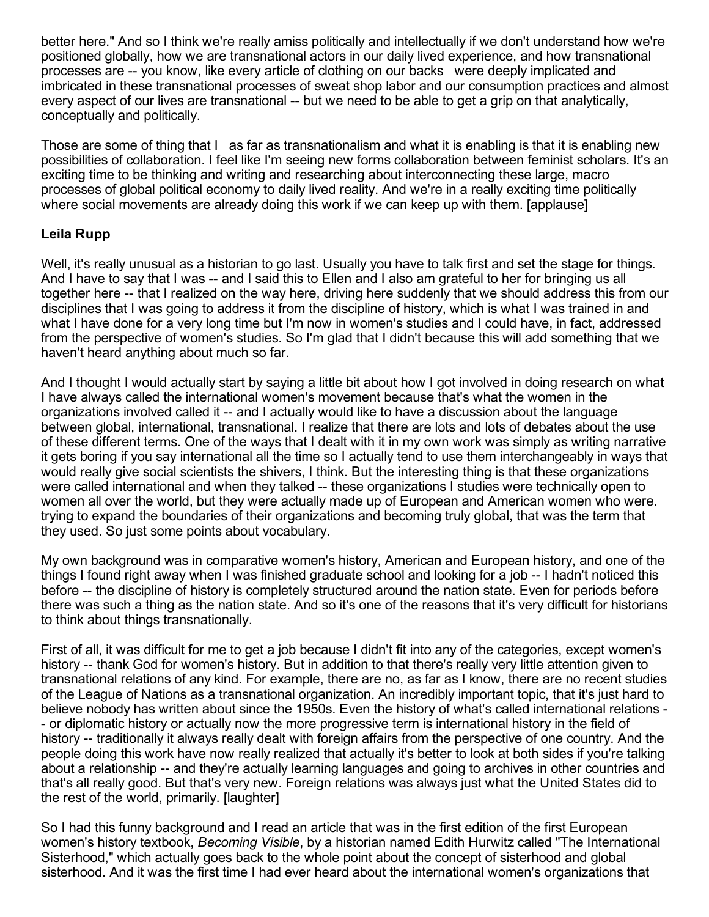better here." And so I think we're really amiss politically and intellectually if we don't understand how we're positioned globally, how we are transnational actors in our daily lived experience, and how transnational processes are -- you know, like every article of clothing on our backs were deeply implicated and imbricated in these transnational processes of sweat shop labor and our consumption practices and almost every aspect of our lives are transnational -- but we need to be able to get a grip on that analytically, conceptually and politically.

Those are some of thing that I as far as transnationalism and what it is enabling is that it is enabling new possibilities of collaboration. I feel like I'm seeing new forms collaboration between feminist scholars. It's an exciting time to be thinking and writing and researching about interconnecting these large, macro processes of global political economy to daily lived reality. And we're in a really exciting time politically where social movements are already doing this work if we can keep up with them. [applause]

## Leila Rupp

Well, it's really unusual as a historian to go last. Usually you have to talk first and set the stage for things. And I have to say that I was -- and I said this to Ellen and I also am grateful to her for bringing us all together here -- that I realized on the way here, driving here suddenly that we should address this from our disciplines that I was going to address it from the discipline of history, which is what I was trained in and what I have done for a very long time but I'm now in women's studies and I could have, in fact, addressed from the perspective of women's studies. So I'm glad that I didn't because this will add something that we haven't heard anything about much so far.

And I thought I would actually start by saying a little bit about how I got involved in doing research on what I have always called the international women's movement because that's what the women in the organizations involved called it -- and I actually would like to have a discussion about the language between global, international, transnational. I realize that there are lots and lots of debates about the use of these different terms. One of the ways that I dealt with it in my own work was simply as writing narrative it gets boring if you say international all the time so I actually tend to use them interchangeably in ways that would really give social scientists the shivers, I think. But the interesting thing is that these organizations were called international and when they talked -- these organizations I studies were technically open to women all over the world, but they were actually made up of European and American women who were. trying to expand the boundaries of their organizations and becoming truly global, that was the term that they used. So just some points about vocabulary.

My own background was in comparative women's history, American and European history, and one of the things I found right away when I was finished graduate school and looking for a job -- I hadn't noticed this before -- the discipline of history is completely structured around the nation state. Even for periods before there was such a thing as the nation state. And so it's one of the reasons that it's very difficult for historians to think about things transnationally.

First of all, it was difficult for me to get a job because I didn't fit into any of the categories, except women's history -- thank God for women's history. But in addition to that there's really very little attention given to transnational relations of any kind. For example, there are no, as far as I know, there are no recent studies of the League of Nations as a transnational organization. An incredibly important topic, that it's just hard to believe nobody has written about since the 1950s. Even the history of what's called international relations or diplomatic history or actually now the more progressive term is international history in the field of history -- traditionally it always really dealt with foreign affairs from the perspective of one country. And the people doing this work have now really realized that actually it's better to look at both sides if you're talking about a relationship -- and they're actually learning languages and going to archives in other countries and that's all really good. But that's very new. Foreign relations was always just what the United States did to the rest of the world, primarily. [laughter]

So I had this funny background and I read an article that was in the first edition of the first European women's history textbook, *Becoming Visible*, by a historian named Edith Hurwitz called "The International Sisterhood," which actually goes back to the whole point about the concept of sisterhood and global sisterhood. And it was the first time I had ever heard about the international women's organizations that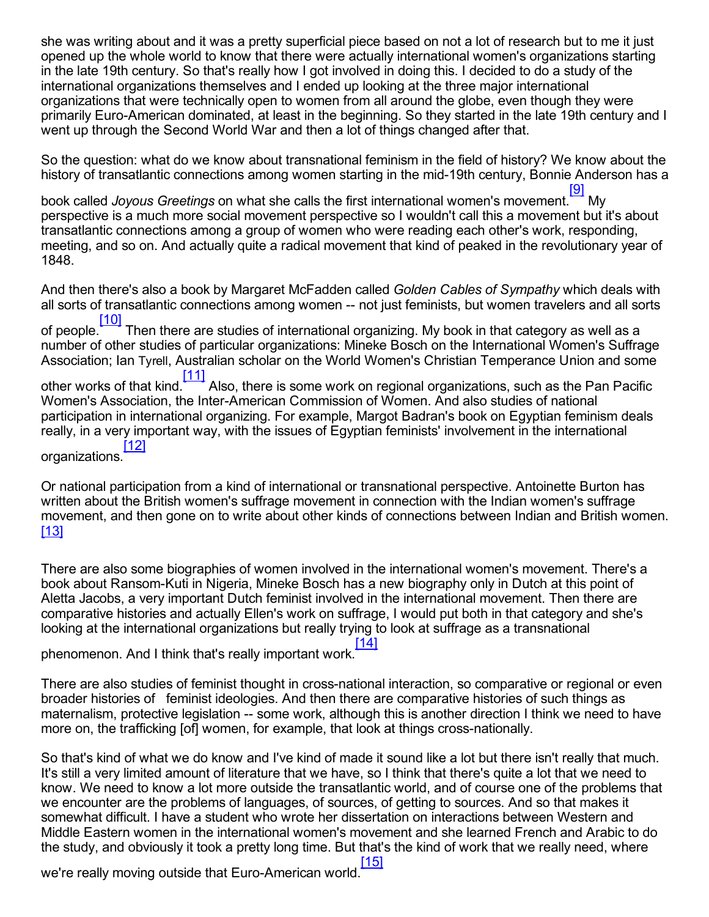she was writing about and it was a pretty superficial piece based on not a lot of research but to me it just opened up the whole world to know that there were actually international women's organizations starting in the late 19th century. So that's really how I got involved in doing this. I decided to do a study of the international organizations themselves and I ended up looking at the three major international organizations that were technically open to women from all around the globe, even though they were primarily Euro-American dominated, at least in the beginning. So they started in the late 19th century and I went up through the Second World War and then a lot of things changed after that.

So the question: what do we know about transnational feminism in the field of history? We know about the history of transatlantic connections among women starting in the mid-19th century, Bonnie Anderson has a

<span id="page-11-0"></span>book called *Joyous Greetings* on what she calls the first international women's movement. [\[9\]](#page-18-8) My perspective is a much more social movement perspective so I wouldn't call this a movement but it's about transatlantic connections among a group of women who were reading each other's work, responding, meeting, and so on. And actually quite a radical movement that kind of peaked in the revolutionary year of 1848.

<span id="page-11-1"></span>And then there's also a book by Margaret McFadden called *Golden Cables of Sympathy* which deals with all sorts of transatlantic connections among women -- not just feminists, but women travelers and all sorts of people. [\[10\]](#page-19-0) Then there are studies of international organizing. My book in that category as well as a number of other studies of particular organizations: Mineke Bosch on the International Women's Suffrage Association; Ian Tyrell, Australian scholar on the World Women's Christian Temperance Union and some other works of that kind. [\[11\]](#page-19-1) Also, there is some work on regional organizations, such as the Pan Pacific Women's Association, the Inter-American Commission of Women. And also studies of national participation in international organizing. For example, Margot Badran's book on Egyptian feminism deals really, in a very important way, with the issues of Egyptian feminists' involvement in the international [\[12\]](#page-19-2)

<span id="page-11-3"></span><span id="page-11-2"></span>organizations.

Or national participation from a kind of international or transnational perspective. Antoinette Burton has written about the British women's suffrage movement in connection with the Indian women's suffrage movement, and then gone on to write about other kinds of connections between Indian and British women. [\[13\]](#page-19-3)

<span id="page-11-4"></span>There are also some biographies of women involved in the international women's movement. There's a book about Ransom-Kuti in Nigeria, Mineke Bosch has a new biography only in Dutch at this point of Aletta Jacobs, a very important Dutch feminist involved in the international movement. Then there are comparative histories and actually Ellen's work on suffrage, I would put both in that category and she's looking at the international organizations but really trying to look at suffrage as a transnational [\[14\]](#page-19-4)

<span id="page-11-5"></span>phenomenon. And I think that's really important work.

There are also studies of feminist thought in cross-national interaction, so comparative or regional or even broader histories of feminist ideologies. And then there are comparative histories of such things as maternalism, protective legislation -- some work, although this is another direction I think we need to have more on, the trafficking [of] women, for example, that look at things cross-nationally.

So that's kind of what we do know and I've kind of made it sound like a lot but there isn't really that much. It's still a very limited amount of literature that we have, so I think that there's quite a lot that we need to know. We need to know a lot more outside the transatlantic world, and of course one of the problems that we encounter are the problems of languages, of sources, of getting to sources. And so that makes it somewhat difficult. I have a student who wrote her dissertation on interactions between Western and Middle Eastern women in the international women's movement and she learned French and Arabic to do the study, and obviously it took a pretty long time. But that's the kind of work that we really need, where

<span id="page-11-6"></span>we're really moving outside that Euro-American world. [\[15\]](#page-19-5)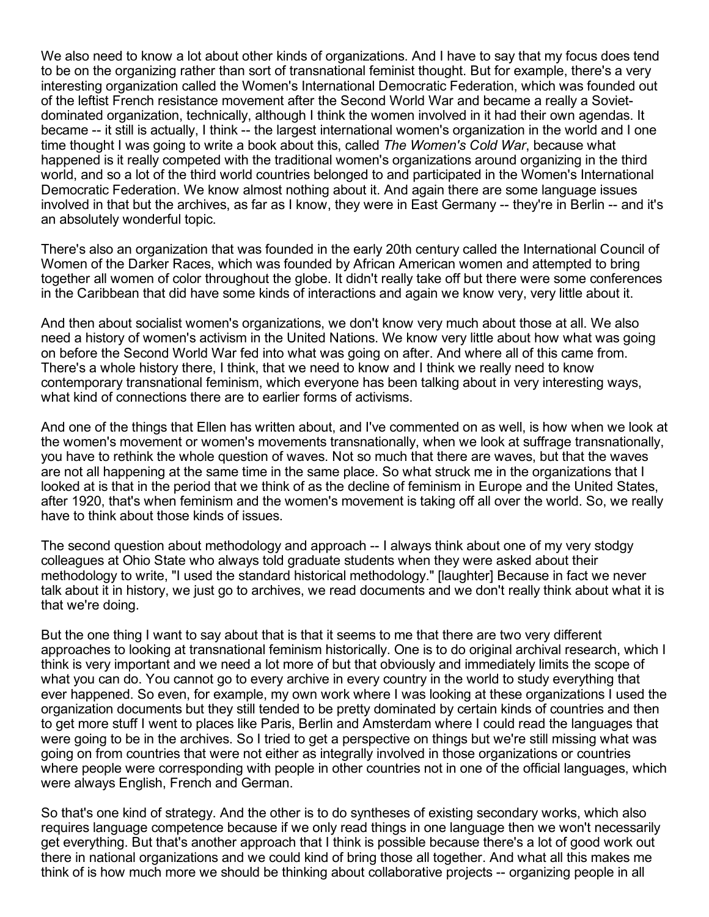We also need to know a lot about other kinds of organizations. And I have to say that my focus does tend to be on the organizing rather than sort of transnational feminist thought. But for example, there's a very interesting organization called the Women's International Democratic Federation, which was founded out of the leftist French resistance movement after the Second World War and became a really a Sovietdominated organization, technically, although I think the women involved in it had their own agendas. It became -- it still is actually, I think -- the largest international women's organization in the world and I one time thought I was going to write a book about this, called *The Women's Cold War*, because what happened is it really competed with the traditional women's organizations around organizing in the third world, and so a lot of the third world countries belonged to and participated in the Women's International Democratic Federation. We know almost nothing about it. And again there are some language issues involved in that but the archives, as far as I know, they were in East Germany -- they're in Berlin -- and it's an absolutely wonderful topic.

There's also an organization that was founded in the early 20th century called the International Council of Women of the Darker Races, which was founded by African American women and attempted to bring together all women of color throughout the globe. It didn't really take off but there were some conferences in the Caribbean that did have some kinds of interactions and again we know very, very little about it.

And then about socialist women's organizations, we don't know very much about those at all. We also need a history of women's activism in the United Nations. We know very little about how what was going on before the Second World War fed into what was going on after. And where all of this came from. There's a whole history there, I think, that we need to know and I think we really need to know contemporary transnational feminism, which everyone has been talking about in very interesting ways, what kind of connections there are to earlier forms of activisms.

And one of the things that Ellen has written about, and I've commented on as well, is how when we look at the women's movement or women's movements transnationally, when we look at suffrage transnationally, you have to rethink the whole question of waves. Not so much that there are waves, but that the waves are not all happening at the same time in the same place. So what struck me in the organizations that I looked at is that in the period that we think of as the decline of feminism in Europe and the United States, after 1920, that's when feminism and the women's movement is taking off all over the world. So, we really have to think about those kinds of issues.

The second question about methodology and approach -- I always think about one of my very stodgy colleagues at Ohio State who always told graduate students when they were asked about their methodology to write, "I used the standard historical methodology." [laughter] Because in fact we never talk about it in history, we just go to archives, we read documents and we don't really think about what it is that we're doing.

But the one thing I want to say about that is that it seems to me that there are two very different approaches to looking at transnational feminism historically. One is to do original archival research, which I think is very important and we need a lot more of but that obviously and immediately limits the scope of what you can do. You cannot go to every archive in every country in the world to study everything that ever happened. So even, for example, my own work where I was looking at these organizations I used the organization documents but they still tended to be pretty dominated by certain kinds of countries and then to get more stuff I went to places like Paris, Berlin and Amsterdam where I could read the languages that were going to be in the archives. So I tried to get a perspective on things but we're still missing what was going on from countries that were not either as integrally involved in those organizations or countries where people were corresponding with people in other countries not in one of the official languages, which were always English, French and German.

So that's one kind of strategy. And the other is to do syntheses of existing secondary works, which also requires language competence because if we only read things in one language then we won't necessarily get everything. But that's another approach that I think is possible because there's a lot of good work out there in national organizations and we could kind of bring those all together. And what all this makes me think of is how much more we should be thinking about collaborative projects -- organizing people in all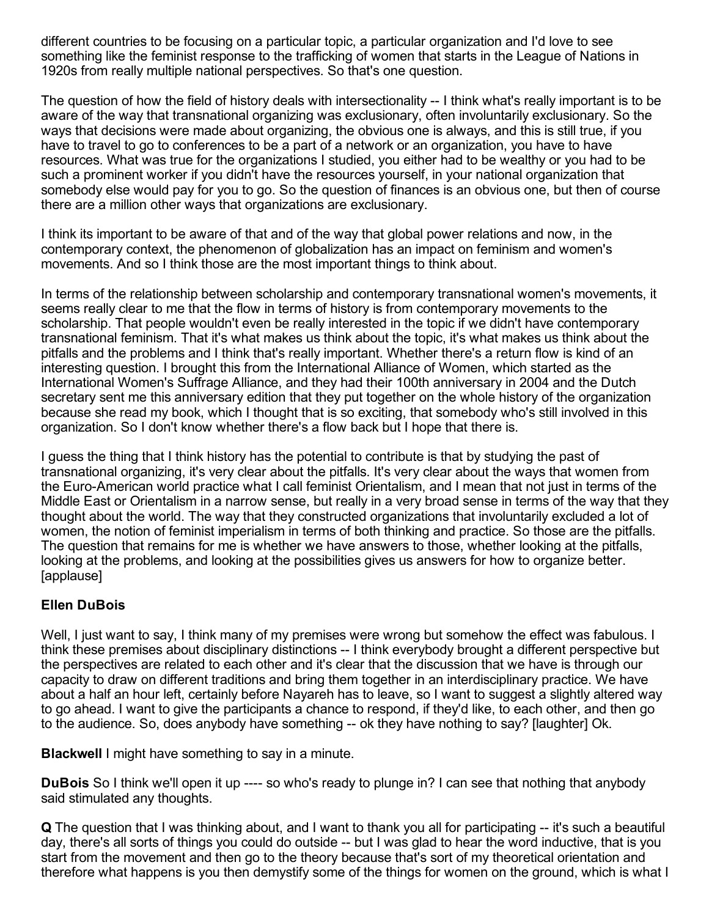different countries to be focusing on a particular topic, a particular organization and I'd love to see something like the feminist response to the trafficking of women that starts in the League of Nations in 1920s from really multiple national perspectives. So that's one question.

The question of how the field of history deals with intersectionality -- I think what's really important is to be aware of the way that transnational organizing was exclusionary, often involuntarily exclusionary. So the ways that decisions were made about organizing, the obvious one is always, and this is still true, if you have to travel to go to conferences to be a part of a network or an organization, you have to have resources. What was true for the organizations I studied, you either had to be wealthy or you had to be such a prominent worker if you didn't have the resources yourself, in your national organization that somebody else would pay for you to go. So the question of finances is an obvious one, but then of course there are a million other ways that organizations are exclusionary.

I think its important to be aware of that and of the way that global power relations and now, in the contemporary context, the phenomenon of globalization has an impact on feminism and women's movements. And so I think those are the most important things to think about.

In terms of the relationship between scholarship and contemporary transnational women's movements, it seems really clear to me that the flow in terms of history is from contemporary movements to the scholarship. That people wouldn't even be really interested in the topic if we didn't have contemporary transnational feminism. That it's what makes us think about the topic, it's what makes us think about the pitfalls and the problems and I think that's really important. Whether there's a return flow is kind of an interesting question. I brought this from the International Alliance of Women, which started as the International Women's Suffrage Alliance, and they had their 100th anniversary in 2004 and the Dutch secretary sent me this anniversary edition that they put together on the whole history of the organization because she read my book, which I thought that is so exciting, that somebody who's still involved in this organization. So I don't know whether there's a flow back but I hope that there is.

I guess the thing that I think history has the potential to contribute is that by studying the past of transnational organizing, it's very clear about the pitfalls. It's very clear about the ways that women from the Euro-American world practice what I call feminist Orientalism, and I mean that not just in terms of the Middle East or Orientalism in a narrow sense, but really in a very broad sense in terms of the way that they thought about the world. The way that they constructed organizations that involuntarily excluded a lot of women, the notion of feminist imperialism in terms of both thinking and practice. So those are the pitfalls. The question that remains for me is whether we have answers to those, whether looking at the pitfalls, looking at the problems, and looking at the possibilities gives us answers for how to organize better. [applause]

### Ellen DuBois

Well, I just want to say, I think many of my premises were wrong but somehow the effect was fabulous. I think these premises about disciplinary distinctions -- I think everybody brought a different perspective but the perspectives are related to each other and it's clear that the discussion that we have is through our capacity to draw on different traditions and bring them together in an interdisciplinary practice. We have about a half an hour left, certainly before Nayareh has to leave, so I want to suggest a slightly altered way to go ahead. I want to give the participants a chance to respond, if they'd like, to each other, and then go to the audience. So, does anybody have something -- ok they have nothing to say? [laughter] Ok.

Blackwell I might have something to say in a minute.

**DuBois** So I think we'll open it up ---- so who's ready to plunge in? I can see that nothing that anybody said stimulated any thoughts.

**Q** The question that I was thinking about, and I want to thank you all for participating -- it's such a beautiful day, there's all sorts of things you could do outside -- but I was glad to hear the word inductive, that is you start from the movement and then go to the theory because that's sort of my theoretical orientation and therefore what happens is you then demystify some of the things for women on the ground, which is what I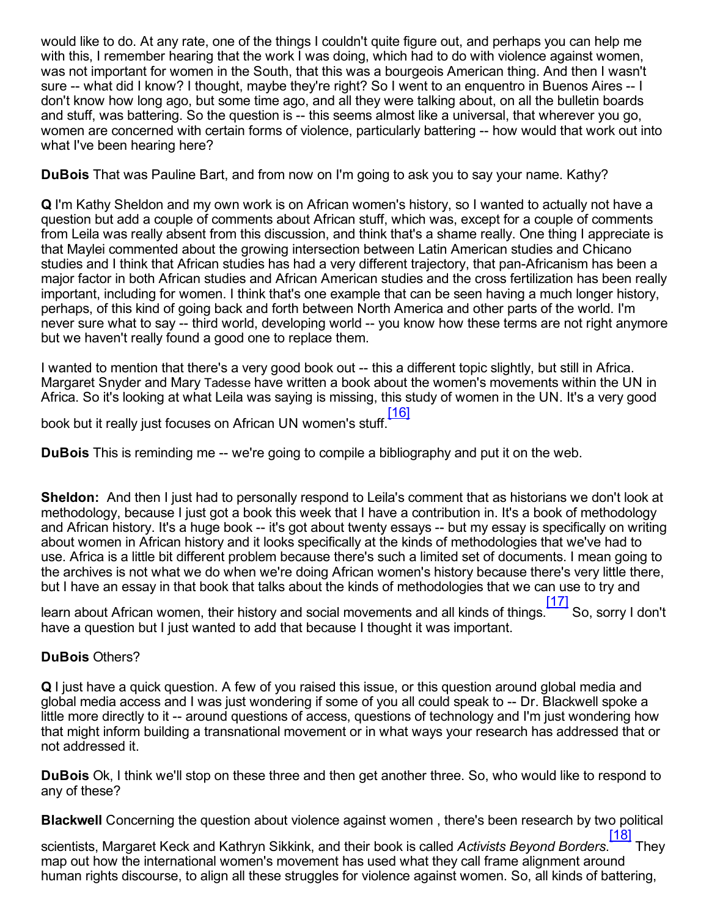would like to do. At any rate, one of the things I couldn't quite figure out, and perhaps you can help me with this, I remember hearing that the work I was doing, which had to do with violence against women, was not important for women in the South, that this was a bourgeois American thing. And then I wasn't sure -- what did I know? I thought, maybe they're right? So I went to an enguentro in Buenos Aires -- I don't know how long ago, but some time ago, and all they were talking about, on all the bulletin boards and stuff, was battering. So the question is -- this seems almost like a universal, that wherever you go, women are concerned with certain forms of violence, particularly battering -- how would that work out into what I've been hearing here?

DuBois That was Pauline Bart, and from now on I'm going to ask you to say your name. Kathy?

Q I'm Kathy Sheldon and my own work is on African women's history, so I wanted to actually not have a question but add a couple of comments about African stuff, which was, except for a couple of comments from Leila was really absent from this discussion, and think that's a shame really. One thing I appreciate is that Maylei commented about the growing intersection between Latin American studies and Chicano studies and I think that African studies has had a very different trajectory, that pan-Africanism has been a major factor in both African studies and African American studies and the cross fertilization has been really important, including for women. I think that's one example that can be seen having a much longer history, perhaps, of this kind of going back and forth between North America and other parts of the world. I'm never sure what to say -- third world, developing world -- you know how these terms are not right anymore but we haven't really found a good one to replace them.

I wanted to mention that there's a very good book out -- this a different topic slightly, but still in Africa. Margaret Snyder and Mary Tadesse have written a book about the women's movements within the UN in Africa. So it's looking at what Leila was saying is missing, this study of women in the UN. It's a very good

<span id="page-14-0"></span>book but it really just focuses on African UN women's stuff. [\[16\]](#page-19-6)

**DuBois** This is reminding me -- we're going to compile a bibliography and put it on the web.

Sheldon: And then I just had to personally respond to Leila's comment that as historians we don't look at methodology, because I just got a book this week that I have a contribution in. It's a book of methodology and African history. It's a huge book -- it's got about twenty essays -- but my essay is specifically on writing about women in African history and it looks specifically at the kinds of methodologies that we've had to use. Africa is a little bit different problem because there's such a limited set of documents. I mean going to the archives is not what we do when we're doing African women's history because there's very little there, but I have an essay in that book that talks about the kinds of methodologies that we can use to try and

<span id="page-14-1"></span>learn about African women, their history and social movements and all kinds of things. [\[17\]](#page-19-7) So, sorry I don't have a question but I just wanted to add that because I thought it was important.

### DuBois Others?

Q I just have a quick question. A few of you raised this issue, or this question around global media and global media access and I was just wondering if some of you all could speak to -- Dr. Blackwell spoke a little more directly to it -- around questions of access, questions of technology and I'm just wondering how that might inform building a transnational movement or in what ways your research has addressed that or not addressed it.

DuBois Ok, I think we'll stop on these three and then get another three. So, who would like to respond to any of these?

Blackwell Concerning the question about violence against women , there's been research by two political

<span id="page-14-2"></span>scientists, Margaret Keck and Kathryn Sikkink, and their book is called *Activists Beyond Borders*. [\[18\]](#page-19-8) They map out how the international women's movement has used what they call frame alignment around human rights discourse, to align all these struggles for violence against women. So, all kinds of battering,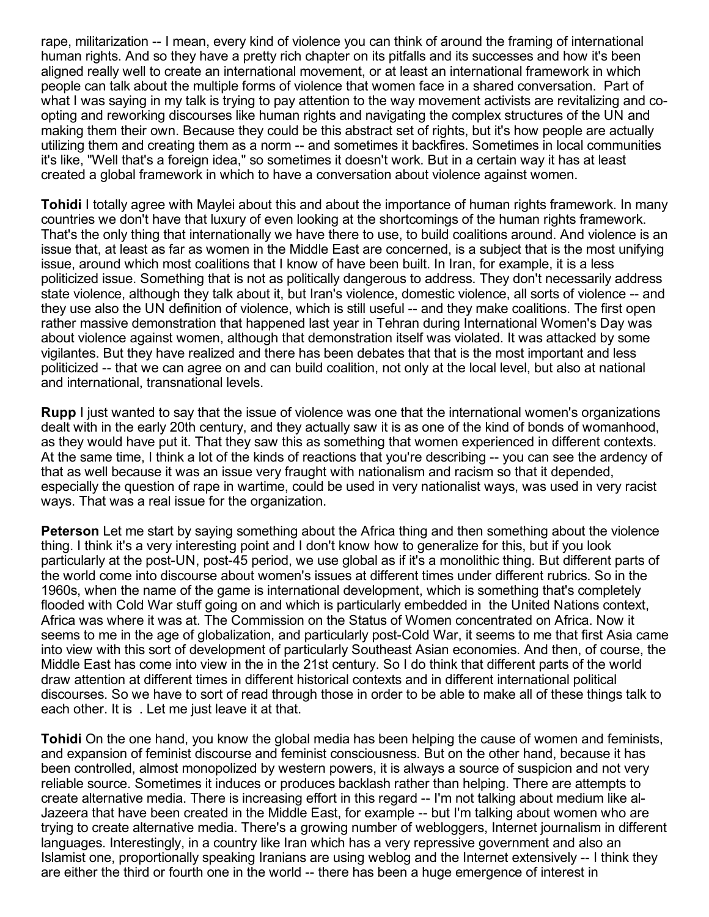rape, militarization -- I mean, every kind of violence you can think of around the framing of international human rights. And so they have a pretty rich chapter on its pitfalls and its successes and how it's been aligned really well to create an international movement, or at least an international framework in which people can talk about the multiple forms of violence that women face in a shared conversation. Part of what I was saying in my talk is trying to pay attention to the way movement activists are revitalizing and coopting and reworking discourses like human rights and navigating the complex structures of the UN and making them their own. Because they could be this abstract set of rights, but it's how people are actually utilizing them and creating them as a norm -- and sometimes it backfires. Sometimes in local communities it's like, "Well that's a foreign idea," so sometimes it doesn't work. But in a certain way it has at least created a global framework in which to have a conversation about violence against women.

Tohidi I totally agree with Maylei about this and about the importance of human rights framework. In many countries we don't have that luxury of even looking at the shortcomings of the human rights framework. That's the only thing that internationally we have there to use, to build coalitions around. And violence is an issue that, at least as far as women in the Middle East are concerned, is a subject that is the most unifying issue, around which most coalitions that I know of have been built. In Iran, for example, it is a less politicized issue. Something that is not as politically dangerous to address. They don't necessarily address state violence, although they talk about it, but Iran's violence, domestic violence, all sorts of violence -- and they use also the UN definition of violence, which is still useful -- and they make coalitions. The first open rather massive demonstration that happened last year in Tehran during International Women's Day was about violence against women, although that demonstration itself was violated. It was attacked by some vigilantes. But they have realized and there has been debates that that is the most important and less politicized -- that we can agree on and can build coalition, not only at the local level, but also at national and international, transnational levels.

Rupp I just wanted to say that the issue of violence was one that the international women's organizations dealt with in the early 20th century, and they actually saw it is as one of the kind of bonds of womanhood, as they would have put it. That they saw this as something that women experienced in different contexts. At the same time, I think a lot of the kinds of reactions that you're describing -- you can see the ardency of that as well because it was an issue very fraught with nationalism and racism so that it depended, especially the question of rape in wartime, could be used in very nationalist ways, was used in very racist ways. That was a real issue for the organization.

Peterson Let me start by saying something about the Africa thing and then something about the violence thing. I think it's a very interesting point and I don't know how to generalize for this, but if you look particularly at the post-UN, post-45 period, we use global as if it's a monolithic thing. But different parts of the world come into discourse about women's issues at different times under different rubrics. So in the 1960s, when the name of the game is international development, which is something that's completely flooded with Cold War stuff going on and which is particularly embedded in the United Nations context, Africa was where it was at. The Commission on the Status of Women concentrated on Africa. Now it seems to me in the age of globalization, and particularly post-Cold War, it seems to me that first Asia came into view with this sort of development of particularly Southeast Asian economies. And then, of course, the Middle East has come into view in the in the 21st century. So I do think that different parts of the world draw attention at different times in different historical contexts and in different international political discourses. So we have to sort of read through those in order to be able to make all of these things talk to each other. It is . Let me just leave it at that.

Tohidi On the one hand, you know the global media has been helping the cause of women and feminists, and expansion of feminist discourse and feminist consciousness. But on the other hand, because it has been controlled, almost monopolized by western powers, it is always a source of suspicion and not very reliable source. Sometimes it induces or produces backlash rather than helping. There are attempts to create alternative media. There is increasing effort in this regard -- I'm not talking about medium like al-Jazeera that have been created in the Middle East, for example -- but I'm talking about women who are trying to create alternative media. There's a growing number of webloggers, Internet journalism in different languages. Interestingly, in a country like Iran which has a very repressive government and also an Islamist one, proportionally speaking Iranians are using weblog and the Internet extensively -- I think they are either the third or fourth one in the world -- there has been a huge emergence of interest in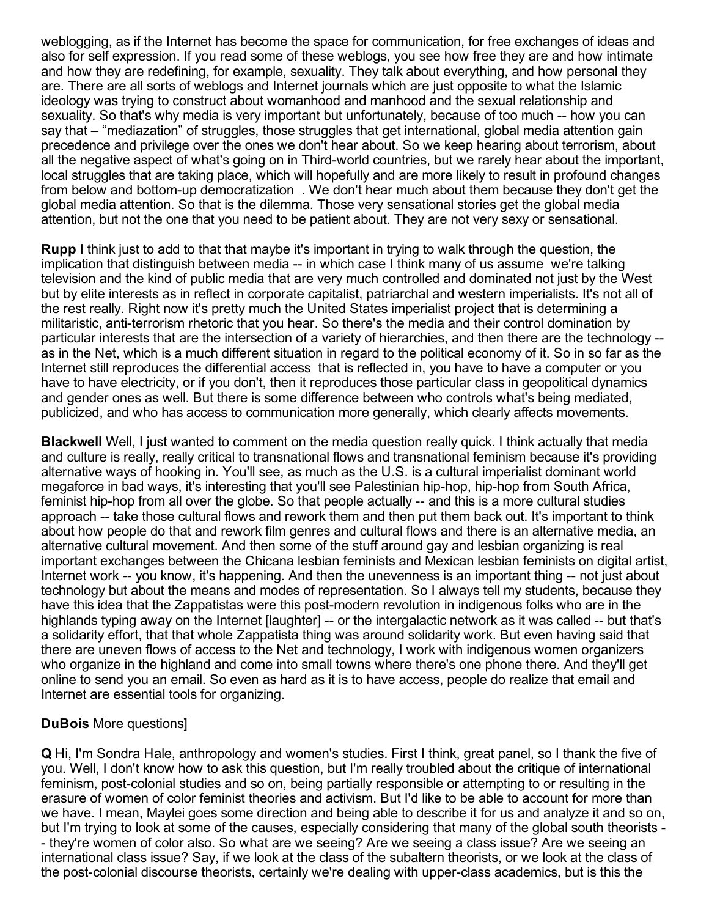weblogging, as if the Internet has become the space for communication, for free exchanges of ideas and also for self expression. If you read some of these weblogs, you see how free they are and how intimate and how they are redefining, for example, sexuality. They talk about everything, and how personal they are. There are all sorts of weblogs and Internet journals which are just opposite to what the Islamic ideology was trying to construct about womanhood and manhood and the sexual relationship and sexuality. So that's why media is very important but unfortunately, because of too much -- how you can say that – "mediazation" of struggles, those struggles that get international, global media attention gain precedence and privilege over the ones we don't hear about. So we keep hearing about terrorism, about all the negative aspect of what's going on in Third-world countries, but we rarely hear about the important, local struggles that are taking place, which will hopefully and are more likely to result in profound changes from below and bottom-up democratization. We don't hear much about them because they don't get the global media attention. So that is the dilemma. Those very sensational stories get the global media attention, but not the one that you need to be patient about. They are not very sexy or sensational.

Rupp I think just to add to that that maybe it's important in trying to walk through the question, the implication that distinguish between media -- in which case I think many of us assume we're talking television and the kind of public media that are very much controlled and dominated not just by the West but by elite interests as in reflect in corporate capitalist, patriarchal and western imperialists. It's not all of the rest really. Right now it's pretty much the United States imperialist project that is determining a militaristic, anti-terrorism rhetoric that you hear. So there's the media and their control domination by particular interests that are the intersection of a variety of hierarchies, and then there are the technology as in the Net, which is a much different situation in regard to the political economy of it. So in so far as the Internet still reproduces the differential access that is reflected in, you have to have a computer or you have to have electricity, or if you don't, then it reproduces those particular class in geopolitical dynamics and gender ones as well. But there is some difference between who controls what's being mediated, publicized, and who has access to communication more generally, which clearly affects movements.

Blackwell Well, I just wanted to comment on the media question really quick. I think actually that media and culture is really, really critical to transnational flows and transnational feminism because it's providing alternative ways of hooking in. You'll see, as much as the U.S. is a cultural imperialist dominant world megaforce in bad ways, it's interesting that you'll see Palestinian hiphop, hiphop from South Africa, feminist hip-hop from all over the globe. So that people actually -- and this is a more cultural studies approach -- take those cultural flows and rework them and then put them back out. It's important to think about how people do that and rework film genres and cultural flows and there is an alternative media, an alternative cultural movement. And then some of the stuff around gay and lesbian organizing is real important exchanges between the Chicana lesbian feminists and Mexican lesbian feminists on digital artist, Internet work -- you know, it's happening. And then the unevenness is an important thing -- not just about technology but about the means and modes of representation. So I always tell my students, because they have this idea that the Zappatistas were this post-modern revolution in indigenous folks who are in the highlands typing away on the Internet [laughter] -- or the intergalactic network as it was called -- but that's a solidarity effort, that that whole Zappatista thing was around solidarity work. But even having said that there are uneven flows of access to the Net and technology, I work with indigenous women organizers who organize in the highland and come into small towns where there's one phone there. And they'll get online to send you an email. So even as hard as it is to have access, people do realize that email and Internet are essential tools for organizing.

### DuBois More questions]

Q Hi, I'm Sondra Hale, anthropology and women's studies. First I think, great panel, so I thank the five of you. Well, I don't know how to ask this question, but I'm really troubled about the critique of international feminism, post-colonial studies and so on, being partially responsible or attempting to or resulting in the erasure of women of color feminist theories and activism. But I'd like to be able to account for more than we have. I mean, Maylei goes some direction and being able to describe it for us and analyze it and so on, but I'm trying to look at some of the causes, especially considering that many of the global south theorists they're women of color also. So what are we seeing? Are we seeing a class issue? Are we seeing an international class issue? Say, if we look at the class of the subaltern theorists, or we look at the class of the post-colonial discourse theorists, certainly we're dealing with upper-class academics, but is this the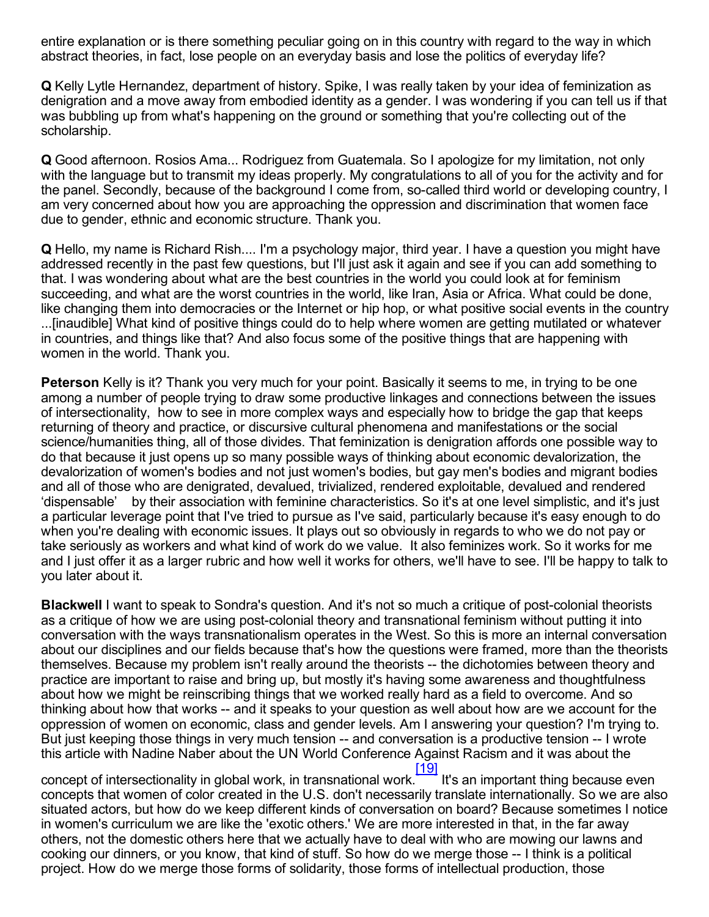entire explanation or is there something peculiar going on in this country with regard to the way in which abstract theories, in fact, lose people on an everyday basis and lose the politics of everyday life?

Q Kelly Lytle Hernandez, department of history. Spike, I was really taken by your idea of feminization as denigration and a move away from embodied identity as a gender. I was wondering if you can tell us if that was bubbling up from what's happening on the ground or something that you're collecting out of the scholarship.

Q Good afternoon. Rosios Ama... Rodriguez from Guatemala. So I apologize for my limitation, not only with the language but to transmit my ideas properly. My congratulations to all of you for the activity and for the panel. Secondly, because of the background I come from, so-called third world or developing country, I am very concerned about how you are approaching the oppression and discrimination that women face due to gender, ethnic and economic structure. Thank you.

Q Hello, my name is Richard Rish.... I'm a psychology major, third year. I have a question you might have addressed recently in the past few questions, but I'll just ask it again and see if you can add something to that. I was wondering about what are the best countries in the world you could look at for feminism succeeding, and what are the worst countries in the world, like Iran, Asia or Africa. What could be done, like changing them into democracies or the Internet or hip hop, or what positive social events in the country ...[inaudible] What kind of positive things could do to help where women are getting mutilated or whatever in countries, and things like that? And also focus some of the positive things that are happening with women in the world. Thank you.

**Peterson** Kelly is it? Thank you very much for your point. Basically it seems to me, in trying to be one among a number of people trying to draw some productive linkages and connections between the issues of intersectionality, how to see in more complex ways and especially how to bridge the gap that keeps returning of theory and practice, or discursive cultural phenomena and manifestations or the social science/humanities thing, all of those divides. That feminization is denigration affords one possible way to do that because it just opens up so many possible ways of thinking about economic devalorization, the devalorization of women's bodies and not just women's bodies, but gay men's bodies and migrant bodies and all of those who are denigrated, devalued, trivialized, rendered exploitable, devalued and rendered 'dispensable' by their association with feminine characteristics. So it's at one level simplistic, and it's just a particular leverage point that I've tried to pursue as I've said, particularly because it's easy enough to do when you're dealing with economic issues. It plays out so obviously in regards to who we do not pay or take seriously as workers and what kind of work do we value. It also feminizes work. So it works for me and I just offer it as a larger rubric and how well it works for others, we'll have to see. I'll be happy to talk to you later about it.

**Blackwell** I want to speak to Sondra's question. And it's not so much a critique of post-colonial theorists as a critique of how we are using post-colonial theory and transnational feminism without putting it into conversation with the ways transnationalism operates in the West. So this is more an internal conversation about our disciplines and our fields because that's how the questions were framed, more than the theorists themselves. Because my problem isn't really around the theorists -- the dichotomies between theory and practice are important to raise and bring up, but mostly it's having some awareness and thoughtfulness about how we might be reinscribing things that we worked really hard as a field to overcome. And so thinking about how that works -- and it speaks to your question as well about how are we account for the oppression of women on economic, class and gender levels. Am I answering your question? I'm trying to. But just keeping those things in very much tension -- and conversation is a productive tension -- I wrote this article with Nadine Naber about the UN World Conference Against Racism and it was about the

<span id="page-17-0"></span>concept of intersectionality in global work, in transnational work. [1<u>9]</u> It's an important thing because even concepts that women of color created in the U.S. don't necessarily translate internationally. So we are also situated actors, but how do we keep different kinds of conversation on board? Because sometimes I notice in women's curriculum we are like the 'exotic others.' We are more interested in that, in the far away others, not the domestic others here that we actually have to deal with who are mowing our lawns and cooking our dinners, or you know, that kind of stuff. So how do we merge those -- I think is a political project. How do we merge those forms of solidarity, those forms of intellectual production, those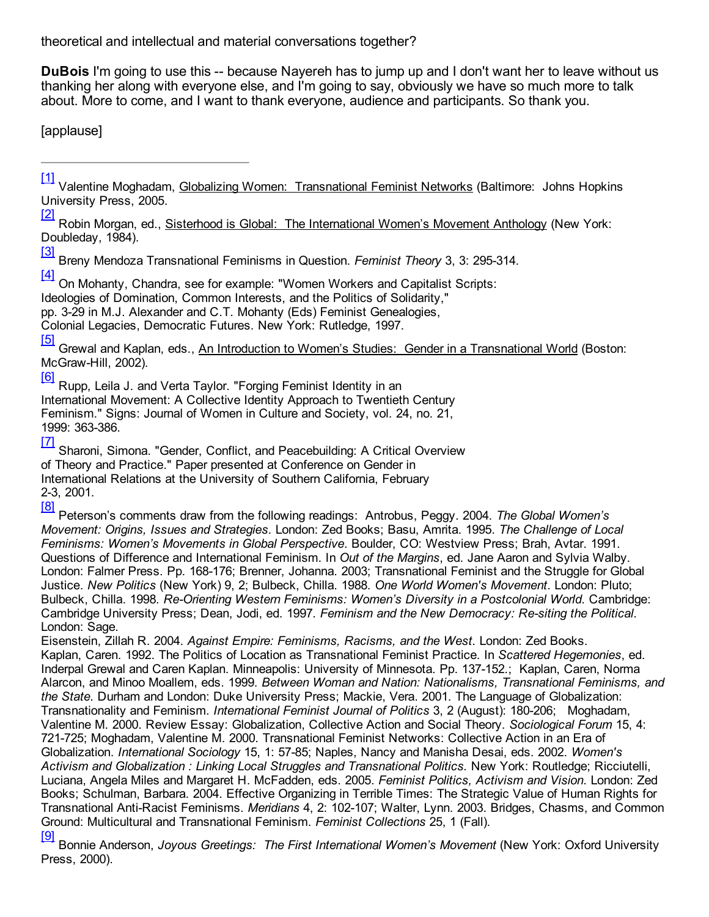theoretical and intellectual and material conversations together?

**DuBois** I'm going to use this -- because Nayereh has to jump up and I don't want her to leave without us thanking her along with everyone else, and I'm going to say, obviously we have so much more to talk about. More to come, and I want to thank everyone, audience and participants. So thank you.

[applause]

[\[1\]](#page-3-0)

<span id="page-18-0"></span>Valentine Moghadam, Globalizing Women: Transnational Feminist Networks (Baltimore: Johns Hopkins University Press, 2005.

<span id="page-18-1"></span>[\[2\]](#page-3-1) Robin Morgan, ed., **Sisterhood is Global: The International Women's Movement Anthology (New York:** Doubleday, 1984).

<span id="page-18-2"></span>[\[3\]](#page-3-2) Breny Mendoza Transnational Feminisms in Question. *Feminist Theory* 3, 3: 295314.

[\[4\]](#page-4-0)

<span id="page-18-3"></span>On Mohanty, Chandra, see for example: "Women Workers and Capitalist Scripts:

Ideologies of Domination, Common Interests, and the Politics of Solidarity,"

pp. 329 in M.J. Alexander and C.T. Mohanty (Eds) Feminist Genealogies,

Colonial Legacies, Democratic Futures. New York: Rutledge, 1997.

<span id="page-18-4"></span>[\[5\]](#page-4-1) Grewal and Kaplan, eds., An Introduction to Women's Studies: Gender in a Transnational World (Boston: McGraw-Hill, 2002).

[\[6\]](#page-4-2)

<span id="page-18-5"></span>Rupp, Leila J. and Verta Taylor. "Forging Feminist Identity in an International Movement: A Collective Identity Approach to Twentieth Century Feminism." Signs: Journal of Women in Culture and Society, vol. 24, no. 21, 1999: 363-386.

<span id="page-18-6"></span>[\[7\]](#page-4-3) Sharoni, Simona. "Gender, Conflict, and Peacebuilding: A Critical Overview of Theory and Practice." Paper presented at Conference on Gender in International Relations at the University of Southern California, February 23, 2001.

<span id="page-18-7"></span>[\[8\]](#page-6-0) Peterson's comments draw from the following readings: Antrobus, Peggy. 2004. *The Global Women's Movement: Origins, Issues and Strategies*. London: Zed Books; Basu, Amrita. 1995. *The Challenge of Local Feminisms: Women's Movements in Global Perspective*. Boulder, CO: Westview Press; Brah, Avtar. 1991. Questions of Difference and International Feminism. In *Out of the Margins*, ed. Jane Aaron and Sylvia Walby. London: Falmer Press. Pp. 168-176; Brenner, Johanna. 2003; Transnational Feminist and the Struggle for Global Justice. *New Politics* (New York) 9, 2; Bulbeck, Chilla. 1988. *One World Women's Movement*. London: Pluto; Bulbeck, Chilla. 1998. *ReOrienting Western Feminisms: Women's Diversity in a Postcolonial World*. Cambridge: Cambridge University Press; Dean, Jodi, ed. 1997. *Feminism and the New Democracy: Resiting the Political*. London: Sage.

Eisenstein, Zillah R. 2004. *Against Empire: Feminisms, Racisms, and the West*. London: Zed Books. Kaplan, Caren. 1992. The Politics of Location as Transnational Feminist Practice. In *Scattered Hegemonies*, ed. Inderpal Grewal and Caren Kaplan. Minneapolis: University of Minnesota. Pp. 137-152.; Kaplan, Caren, Norma Alarcon, and Minoo Moallem, eds. 1999. *Between Woman and Nation: Nationalisms, Transnational Feminisms, and the State*. Durham and London: Duke University Press; Mackie, Vera. 2001. The Language of Globalization: Transnationality and Feminism. *International Feminist Journal of Politics* 3, 2 (August): 180206; Moghadam, Valentine M. 2000. Review Essay: Globalization, Collective Action and Social Theory. *Sociological Forum* 15, 4: 721725; Moghadam, Valentine M. 2000. Transnational Feminist Networks: Collective Action in an Era of Globalization. *International Sociology* 15, 1: 5785; Naples, Nancy and Manisha Desai, eds. 2002. *Women's Activism and Globalization : Linking Local Struggles and Transnational Politics.* New York: Routledge; Ricciutelli, Luciana, Angela Miles and Margaret H. McFadden, eds. 2005. *Feminist Politics, Activism and Vision*. London: Zed Books; Schulman, Barbara. 2004. Effective Organizing in Terrible Times: The Strategic Value of Human Rights for Transnational Anti-Racist Feminisms. *Meridians* 4, 2: 102-107; Walter, Lynn. 2003. Bridges, Chasms, and Common Ground: Multicultural and Transnational Feminism. *Feminist Collections* 25, 1 (Fall). [\[9\]](#page-11-0)

<span id="page-18-8"></span>Bonnie Anderson, *Joyous Greetings: The First International Women's Movement* (New York: Oxford University Press, 2000).